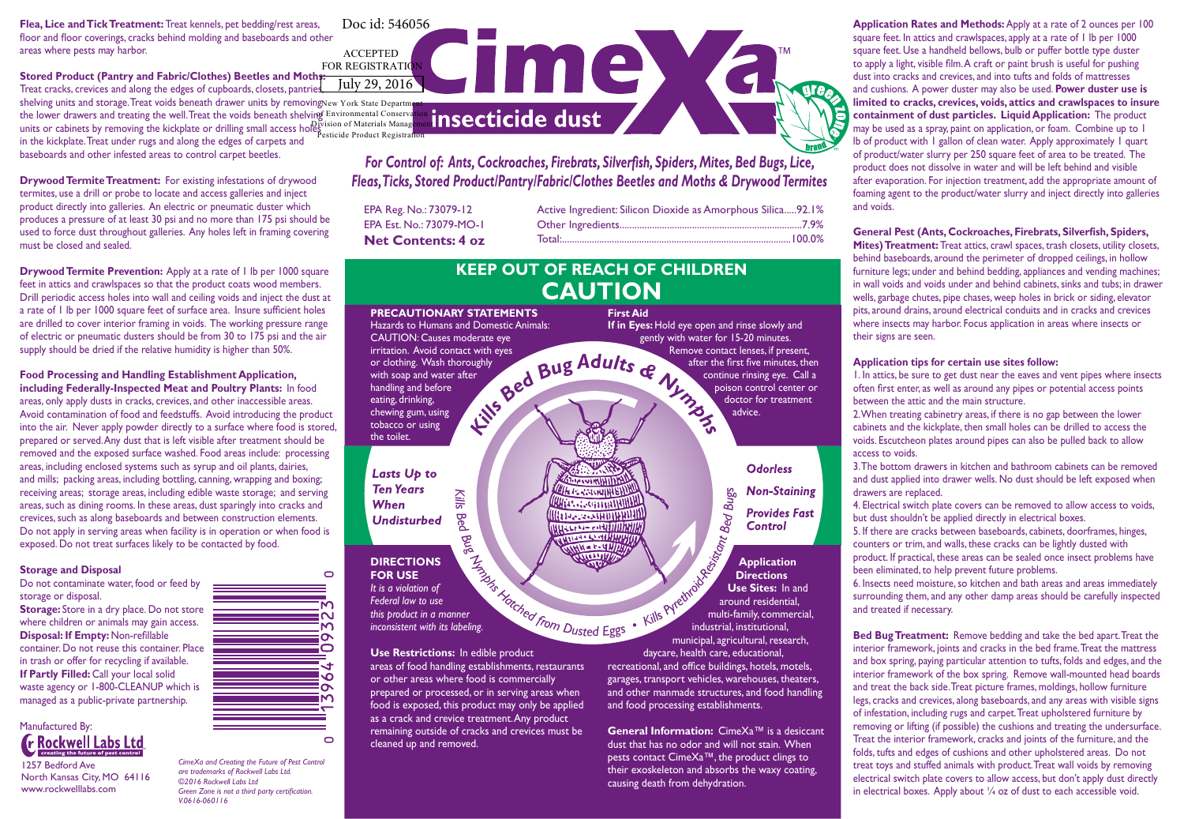**Flea, Lice and Tick Treatment:** Treat kennels, pet bedding/rest areas, floor and floor coverings, cracks behind molding and baseboards and other areas where pests may harbor. ACCEPTED

**Stored Product (Pantry and Fabric/Clothes) Beetles and Moths:**  Treat cracks, crevices and along the edges of cupboards, closets, pantries

shelving units and storage.Treat voids beneath drawer units by removingNew York State Department the lower drawers and treating the well. Treat the voids beneath shelving Environmental Conservation units or cabinets by removing the kickplate or drilling small access holes is not Materials Management in the kickplate. Treat under rugs and along the edges of carpets and baseboards and other infested areas to control carpet beetles. Pesticide Product Registration

**Drywood Termite Treatment:** For existing infestations of drywood termites, use a drill or probe to locate and access galleries and inject product directly into galleries. An electric or pneumatic duster which produces a pressure of at least 30 psi and no more than 175 psi should be used to force dust throughout galleries. Any holes left in framing covering must be closed and sealed.

**Drywood Termite Prevention:** Apply at a rate of 1 lb per 1000 square feet in attics and crawlspaces so that the product coats wood members. Drill periodic access holes into wall and ceiling voids and inject the dust at a rate of 1 lb per 1000 square feet of surface area. Insure sufficient holes are drilled to cover interior framing in voids. The working pressure range of electric or pneumatic dusters should be from 30 to 175 psi and the air supply should be dried if the relative humidity is higher than 50%.

**Food Processing and Handling Establishment Application, including Federally-Inspected Meat and Poultry Plants:** In food areas, only apply dusts in cracks, crevices, and other inaccessible areas. Avoid contamination of food and feedstuffs. Avoid introducing the product into the air. Never apply powder directly to a surface where food is stored, prepared or served. Any dust that is left visible after treatment should be removed and the exposed surface washed. Food areas include: processing areas, including enclosed systems such as syrup and oil plants, dairies, and mills; packing areas, including bottling, canning, wrapping and boxing; receiving areas; storage areas, including edible waste storage; and serving areas, such as dining rooms. In these areas, dust sparingly into cracks and crevices, such as along baseboards and between construction elements. Do not apply in serving areas when facility is in operation or when food is exposed. Do not treat surfaces likely to be contacted by food.

#### **Storage and Disposal**

Do not contaminate water, food or feed by storage or disposal

**Storage:** Store in a dry place. Do not store where children or animals may gain access. **Disposal: If Empty:** Non-refillable container. Do not reuse this container. Place in trash or offer for recycling if available. **If Partly Filled:** Call your local solid waste agency or 1-800-CLEANUP which is managed as a public-private partnership.

## Manufactured By: **The Rockwell Labs Ltd**

1257 Bedford Ave North Kansas City, MO 64116 www.rockwelllabs.com

Ñ М õ iо ↴ ۱Ó ᡡ S.

 $\circ$ 

*CimeXa and Creating the Future of Pest Control are trademarks of Rockwell Labs Ltd. ©2016 Rockwell Labs Ltd Green Zone is not a third party certification. V.0616-060116*

July 29, 2016 Doc id: 546056<br>
ACCEPTED<br>
<u>REGISTRATION UNIV 29, 2016</u>

*For Control of: Ants, Cockroaches, Firebrats, Silverfish, Spiders, Mites, Bed Bugs, Lice, Fleas, Ticks, Stored Product/Pantry/Fabric/Clothes Beetles and Moths & Drywood Termites*

| EPA Reg. No.: 73079-12    | Active Ingredient: Silicon Dioxide as Amorphous Silica92.1% |  |
|---------------------------|-------------------------------------------------------------|--|
| EPA Est. No.: 73079-MO-1  |                                                             |  |
| <b>Net Contents: 4 oz</b> |                                                             |  |

## **KEEP OUT OF REACH OF CHILDREN CAUTION**

**MINIMIONS** 

#### **PRECAUTIONARY STATEMENTS**

*Kills Bed*

Hazards to Humans and Domestic Animals: CAUTION: Causes moderate eye irritation. Avoid contact with eyes or clothing. Wash thoroughly with soap and water after handling and before eating, drinking, chewing gum, using tobacco or using

**FOR REGISTRATION** 

Lasts Up to **Ten Years** When **Undisturbed** 

the toilet.

## **DIRECTIONS**

**FOR USE** *It is a violation of Federal law to use this product in a manner inconsistent with its labeling.*

**Use Restrictions:** In edible product areas of food handling establishments, restaurants or other areas where food is commercially prepared or processed, or in serving areas when food is exposed, this product may only be applied as a crack and crevice treatment. Any product remaining outside of cracks and crevices must be cleaned up and removed.

Example 2 **Bug Adults** *& Nightary Remove condensity Beed Bug Adults & Nightary A*<sup>2</sup> **First Aid If in Eyes:** Hold eye open and rinse slowly and gently with water for 15-20 minutes. Remove contact lenses, if present, after the first five minutes, then continue rinsing eye. Call a poison control center or doctor for treatment advice.

## **Odorless Non-Staining**

**Provides Fast** 

# **Application Directions Use Sites:** In and around residential, multi-family, commercial, industrial, institutional, er de Marched From Dusted Eggs - Kills Premotogy and Daniel

municipal, agricultural, research, daycare, health care, educational, recreational, and office buildings, hotels, motels, garages, transport vehicles, warehouses, theaters, and other manmade structures, and food handling and food processing establishments.

**General Information:** CimeXa™ is a desiccant dust that has no odor and will not stain. When pests contact CimeXa™, the product clings to their exoskeleton and absorbs the waxy coating, causing death from dehydration.

**Application Rates and Methods:** Apply at a rate of 2 ounces per 100 square feet. In attics and crawlspaces, apply at a rate of 1 lb per 1000 square feet. Use a handheld bellows, bulb or puffer bottle type duster to apply a light, visible film. A craft or paint brush is useful for pushing dust into cracks and crevices, and into tufts and folds of mattresses and cushions. A power duster may also be used. **Power duster use is limited to cracks, crevices, voids, attics and crawlspaces to insure containment of dust particles. Liquid Application:** The product may be used as a spray, paint on application, or foam. Combine up to 1 lb of product with 1 gallon of clean water. Apply approximately 1 quart of product/water slurry per 250 square feet of area to be treated. The product does not dissolve in water and will be left behind and visible after evaporation. For injection treatment, add the appropriate amount of foaming agent to the product/water slurry and inject directly into galleries and voids.

#### **General Pest (Ants, Cockroaches, Firebrats, Silverfish, Spiders,**

**Mites) Treatment:** Treat attics, crawl spaces, trash closets, utility closets, behind baseboards, around the perimeter of dropped ceilings, in hollow furniture legs; under and behind bedding, appliances and vending machines; in wall voids and voids under and behind cabinets, sinks and tubs; in drawer wells, garbage chutes, pipe chases, weep holes in brick or siding, elevator pits, around drains, around electrical conduits and in cracks and crevices where insects may harbor. Focus application in areas where insects or their signs are seen.

#### **Application tips for certain use sites follow:**

1. In attics, be sure to get dust near the eaves and vent pipes where insects often first enter, as well as around any pipes or potential access points between the attic and the main structure.

2. When treating cabinetry areas, if there is no gap between the lower cabinets and the kickplate, then small holes can be drilled to access the voids. Escutcheon plates around pipes can also be pulled back to allow access to voids.

3. The bottom drawers in kitchen and bathroom cabinets can be removed and dust applied into drawer wells. No dust should be left exposed when drawers are replaced.

4. Electrical switch plate covers can be removed to allow access to voids, but dust shouldn't be applied directly in electrical boxes.

5. If there are cracks between baseboards, cabinets, doorframes, hinges, counters or trim, and walls, these cracks can be lightly dusted with product. If practical, these areas can be sealed once insect problems have been eliminated, to help prevent future problems.

6. Insects need moisture, so kitchen and bath areas and areas immediately surrounding them, and any other damp areas should be carefully inspected and treated if necessary.

**Bed Bug Treatment:** Remove bedding and take the bed apart. Treat the interior framework, joints and cracks in the bed frame. Treat the mattress and box spring, paying particular attention to tufts, folds and edges, and the interior framework of the box spring. Remove wall-mounted head boards and treat the back side. Treat picture frames, moldings, hollow furniture legs, cracks and crevices, along baseboards, and any areas with visible signs of infestation, including rugs and carpet. Treat upholstered furniture by removing or lifting (if possible) the cushions and treating the undersurface. Treat the interior framework, cracks and joints of the furniture, and the folds, tufts and edges of cushions and other upholstered areas. Do not treat toys and stuffed animals with product. Treat wall voids by removing electrical switch plate covers to allow access, but don't apply dust directly in electrical boxes. Apply about ¼ oz of dust to each accessible void.